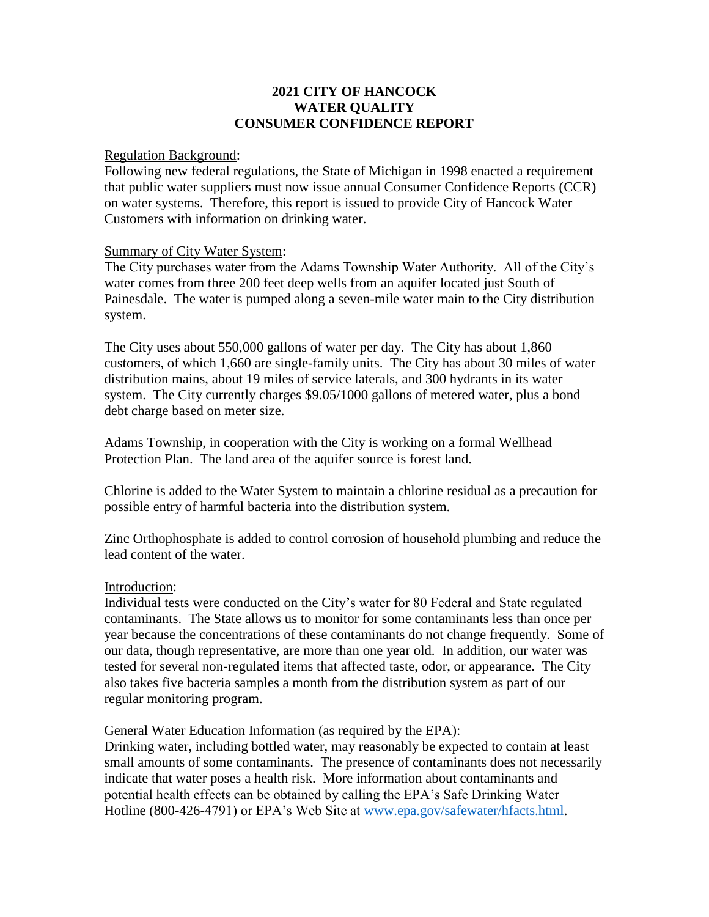## **2021 CITY OF HANCOCK WATER QUALITY CONSUMER CONFIDENCE REPORT**

## Regulation Background:

Following new federal regulations, the State of Michigan in 1998 enacted a requirement that public water suppliers must now issue annual Consumer Confidence Reports (CCR) on water systems. Therefore, this report is issued to provide City of Hancock Water Customers with information on drinking water.

## Summary of City Water System:

The City purchases water from the Adams Township Water Authority. All of the City's water comes from three 200 feet deep wells from an aquifer located just South of Painesdale. The water is pumped along a seven-mile water main to the City distribution system.

The City uses about 550,000 gallons of water per day. The City has about 1,860 customers, of which 1,660 are single-family units. The City has about 30 miles of water distribution mains, about 19 miles of service laterals, and 300 hydrants in its water system. The City currently charges \$9.05/1000 gallons of metered water, plus a bond debt charge based on meter size.

Adams Township, in cooperation with the City is working on a formal Wellhead Protection Plan. The land area of the aquifer source is forest land.

Chlorine is added to the Water System to maintain a chlorine residual as a precaution for possible entry of harmful bacteria into the distribution system.

Zinc Orthophosphate is added to control corrosion of household plumbing and reduce the lead content of the water.

## Introduction:

Individual tests were conducted on the City's water for 80 Federal and State regulated contaminants. The State allows us to monitor for some contaminants less than once per year because the concentrations of these contaminants do not change frequently. Some of our data, though representative, are more than one year old. In addition, our water was tested for several non-regulated items that affected taste, odor, or appearance. The City also takes five bacteria samples a month from the distribution system as part of our regular monitoring program.

#### General Water Education Information (as required by the EPA):

Drinking water, including bottled water, may reasonably be expected to contain at least small amounts of some contaminants. The presence of contaminants does not necessarily indicate that water poses a health risk. More information about contaminants and potential health effects can be obtained by calling the EPA's Safe Drinking Water Hotline (800-426-4791) or EPA's Web Site at [www.epa.gov/safewater/hfacts.html.](http://www.epa.gov/safewater/hfacts.html)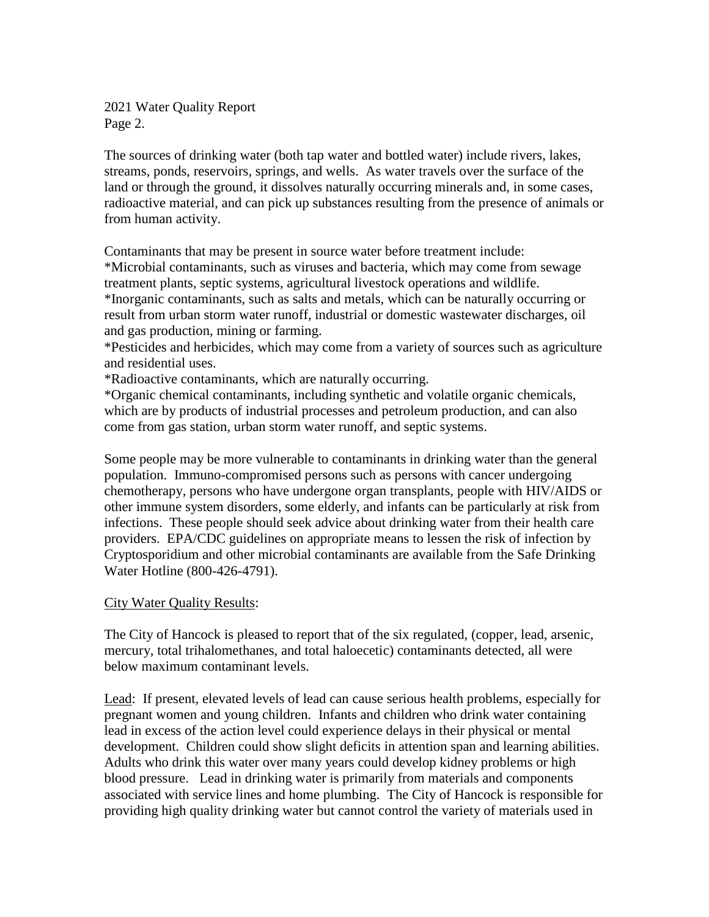2021 Water Quality Report Page 2.

The sources of drinking water (both tap water and bottled water) include rivers, lakes, streams, ponds, reservoirs, springs, and wells. As water travels over the surface of the land or through the ground, it dissolves naturally occurring minerals and, in some cases, radioactive material, and can pick up substances resulting from the presence of animals or from human activity.

Contaminants that may be present in source water before treatment include:

\*Microbial contaminants, such as viruses and bacteria, which may come from sewage treatment plants, septic systems, agricultural livestock operations and wildlife. \*Inorganic contaminants, such as salts and metals, which can be naturally occurring or result from urban storm water runoff, industrial or domestic wastewater discharges, oil and gas production, mining or farming.

\*Pesticides and herbicides, which may come from a variety of sources such as agriculture and residential uses.

\*Radioactive contaminants, which are naturally occurring.

\*Organic chemical contaminants, including synthetic and volatile organic chemicals, which are by products of industrial processes and petroleum production, and can also come from gas station, urban storm water runoff, and septic systems.

Some people may be more vulnerable to contaminants in drinking water than the general population. Immuno-compromised persons such as persons with cancer undergoing chemotherapy, persons who have undergone organ transplants, people with HIV/AIDS or other immune system disorders, some elderly, and infants can be particularly at risk from infections. These people should seek advice about drinking water from their health care providers. EPA/CDC guidelines on appropriate means to lessen the risk of infection by Cryptosporidium and other microbial contaminants are available from the Safe Drinking Water Hotline (800-426-4791).

## City Water Quality Results:

The City of Hancock is pleased to report that of the six regulated, (copper, lead, arsenic, mercury, total trihalomethanes, and total haloecetic) contaminants detected, all were below maximum contaminant levels.

Lead: If present, elevated levels of lead can cause serious health problems, especially for pregnant women and young children. Infants and children who drink water containing lead in excess of the action level could experience delays in their physical or mental development. Children could show slight deficits in attention span and learning abilities. Adults who drink this water over many years could develop kidney problems or high blood pressure. Lead in drinking water is primarily from materials and components associated with service lines and home plumbing. The City of Hancock is responsible for providing high quality drinking water but cannot control the variety of materials used in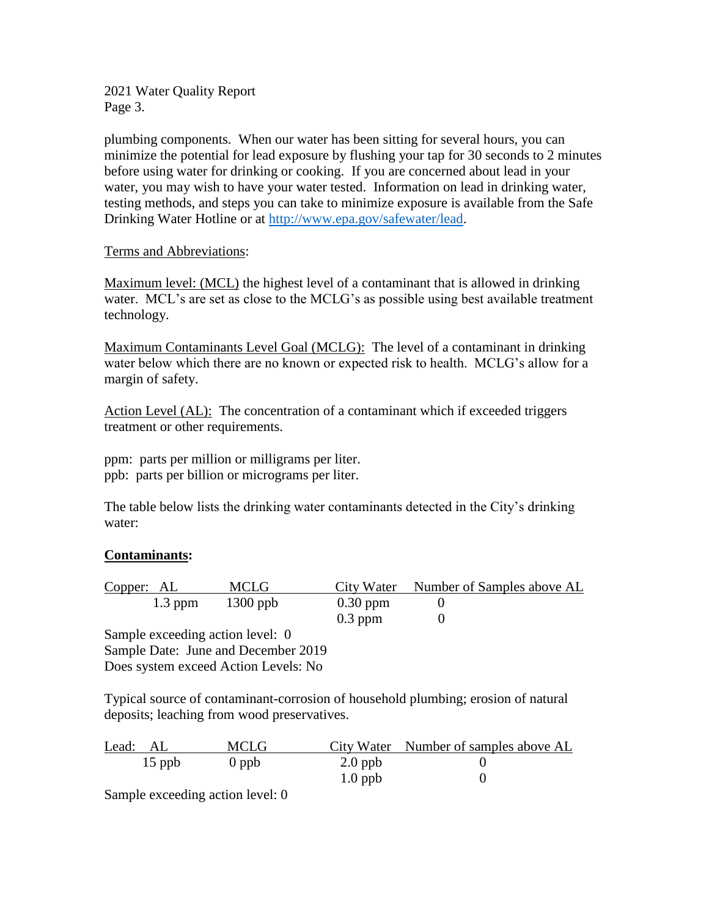2021 Water Quality Report Page 3.

plumbing components. When our water has been sitting for several hours, you can minimize the potential for lead exposure by flushing your tap for 30 seconds to 2 minutes before using water for drinking or cooking. If you are concerned about lead in your water, you may wish to have your water tested. Information on lead in drinking water, testing methods, and steps you can take to minimize exposure is available from the Safe Drinking Water Hotline or at [http://www.epa.gov/safewater/lead.](http://www.epa.gov/safewater/lead)

## Terms and Abbreviations:

Maximum level: (MCL) the highest level of a contaminant that is allowed in drinking water. MCL's are set as close to the MCLG's as possible using best available treatment technology.

Maximum Contaminants Level Goal (MCLG): The level of a contaminant in drinking water below which there are no known or expected risk to health. MCLG's allow for a margin of safety.

Action Level (AL): The concentration of a contaminant which if exceeded triggers treatment or other requirements.

ppm: parts per million or milligrams per liter. ppb: parts per billion or micrograms per liter.

The table below lists the drinking water contaminants detected in the City's drinking water:

# **Contaminants:**

| Copper: AL |           | MCLG       |            | City Water Number of Samples above AL |  |
|------------|-----------|------------|------------|---------------------------------------|--|
|            | $1.3$ ppm | $1300$ ppb | $0.30$ ppm |                                       |  |
|            |           |            | $0.3$ ppm  |                                       |  |

Sample exceeding action level: 0 Sample Date: June and December 2019 Does system exceed Action Levels: No

Typical source of contaminant-corrosion of household plumbing; erosion of natural deposits; leaching from wood preservatives.

| Lead: AL | <b>MCLG</b> |           | City Water Number of samples above AL |
|----------|-------------|-----------|---------------------------------------|
| $15$ ppb | $0$ ppb     | $2.0$ ppb |                                       |
|          |             | $1.0$ ppb |                                       |

Sample exceeding action level: 0